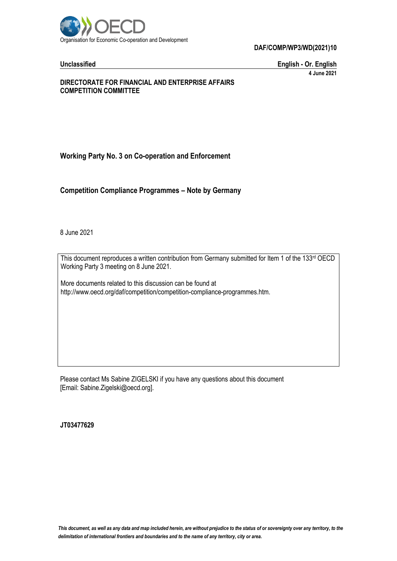

**DAF/COMP/WP3/WD(2021)10**

**Unclassified English - Or. English 4 June 2021**

#### **DIRECTORATE FOR FINANCIAL AND ENTERPRISE AFFAIRS COMPETITION COMMITTEE**

# **Working Party No. 3 on Co-operation and Enforcement**

**Competition Compliance Programmes – Note by Germany**

8 June 2021

This document reproduces a written contribution from Germany submitted for Item 1 of the 133rd OECD Working Party 3 meeting on 8 June 2021.

More documents related to this discussion can be found at http://www.oecd.org/daf/competition/competition-compliance-programmes.htm.

Please contact Ms Sabine ZIGELSKI if you have any questions about this document [Email: Sabine.Zigelski@oecd.org].

**JT03477629**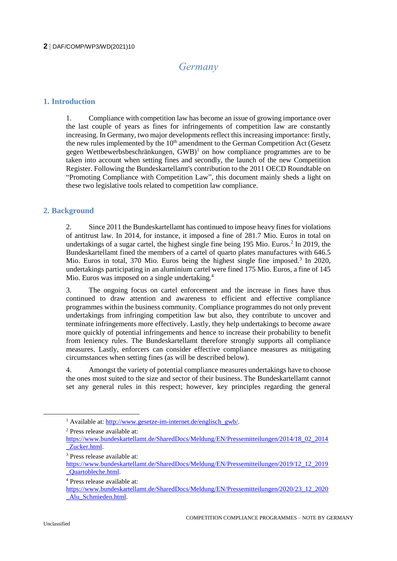# *Germany*

### **1. Introduction**

1. Compliance with competition law has become an issue of growing importance over the last couple of years as fines for infringements of competition law are constantly increasing. In Germany, two major developments reflect this increasing importance: firstly, the new rules implemented by the  $10<sup>th</sup>$  amendment to the German Competition Act (Gesetz gegen Wettbewerbsbeschränkungen,  $GWB$ <sup>1</sup> on how compliance programmes are to be taken into account when setting fines and secondly, the launch of the new Competition Register. Following the Bundeskartellamt's contribution to the 2011 OECD Roundtable on "Promoting Compliance with Competition Law", this document mainly sheds a light on these two legislative tools related to competition law compliance.

# **2. Background**

2. Since 2011 the Bundeskartellamt has continued to impose heavy fines for violations of antitrust law. In 2014, for instance, it imposed a fine of 281.7 Mio. Euros in total on undertakings of a sugar cartel, the highest single fine being 195 Mio. Euros.<sup>2</sup> In 2019, the Bundeskartellamt fined the members of a cartel of quarto plates manufactures with 646.5 Mio. Euros in total, 370 Mio. Euros being the highest single fine imposed.<sup>3</sup> In 2020, undertakings participating in an aluminium cartel were fined 175 Mio. Euros, a fine of 145 Mio. Euros was imposed on a single undertaking.<sup>4</sup>

3. The ongoing focus on cartel enforcement and the increase in fines have thus continued to draw attention and awareness to efficient and effective compliance programmes within the business community. Compliance programmes do not only prevent undertakings from infringing competition law but also, they contribute to uncover and terminate infringements more effectively. Lastly, they help undertakings to become aware more quickly of potential infringements and hence to increase their probability to benefit from leniency rules. The Bundeskartellamt therefore strongly supports all compliance measures. Lastly, enforcers can consider effective compliance measures as mitigating circumstances when setting fines (as will be described below).

4. Amongst the variety of potential compliance measures undertakings have to choose the ones most suited to the size and sector of their business. The Bundeskartellamt cannot set any general rules in this respect; however, key principles regarding the general

<sup>&</sup>lt;sup>1</sup> Available at: [http://www.gesetze-im-internet.de/englisch\\_gwb/.](http://www.gesetze-im-internet.de/englisch_gwb/)

<sup>2</sup> Press release available at:

[https://www.bundeskartellamt.de/SharedDocs/Meldung/EN/Pressemitteilungen/2014/18\\_02\\_2014](https://www.bundeskartellamt.de/SharedDocs/Meldung/EN/Pressemitteilungen/2014/18_02_2014_Zucker.html) [\\_Zucker.html.](https://www.bundeskartellamt.de/SharedDocs/Meldung/EN/Pressemitteilungen/2014/18_02_2014_Zucker.html) 

<sup>3</sup> Press release available at:

[https://www.bundeskartellamt.de/SharedDocs/Meldung/EN/Pressemitteilungen/2019/12\\_12\\_2019](https://www.bundeskartellamt.de/SharedDocs/Meldung/EN/Pressemitteilungen/2019/12_12_2019_Quartobleche.html) [\\_Quartobleche.html.](https://www.bundeskartellamt.de/SharedDocs/Meldung/EN/Pressemitteilungen/2019/12_12_2019_Quartobleche.html)

<sup>4</sup> Press release available at:

[https://www.bundeskartellamt.de/SharedDocs/Meldung/EN/Pressemitteilungen/2020/23\\_12\\_2020](https://www.bundeskartellamt.de/SharedDocs/Meldung/EN/Pressemitteilungen/2020/23_12_2020_Alu_Schmieden.html) Alu Schmieden.html.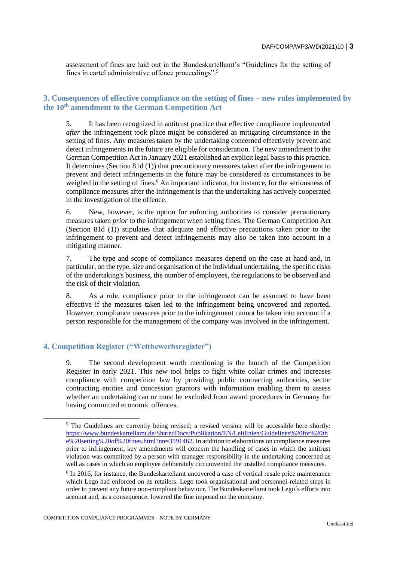assessment of fines are laid out in the Bundeskartellamt's "Guidelines for the setting of fines in cartel administrative offence proceedings".<sup>5</sup>

### **3. Consequences of effective compliance on the setting of fines – new rules implemented by the 10th amendment to the German Competition Act**

5. It has been recognized in antitrust practice that effective compliance implemented *after* the infringement took place might be considered as mitigating circumstance in the setting of fines. Any measures taken by the undertaking concerned effectively prevent and detect infringements in the future are eligible for consideration. The new amendment to the German Competition Act in January 2021 established an explicit legal basis to this practice. It determines (Section 81d (1)) that precautionary measures taken after the infringement to prevent and detect infringements in the future may be considered as circumstances to be weighed in the setting of fines.<sup>6</sup> An important indicator, for instance, for the seriousness of compliance measures after the infringement is that the undertaking has actively cooperated in the investigation of the offence.

6. New, however, is the option for enforcing authorities to consider precautionary measures taken *prior* to the infringement when setting fines. The German Competition Act (Section 81d (1)) stipulates that adequate and effective precautions taken prior to the infringement to prevent and detect infringements may also be taken into account in a mitigating manner.

7. The type and scope of compliance measures depend on the case at hand and, in particular, on the type, size and organisation of the individual undertaking, the specific risks of the undertaking's business, the number of employees, the regulations to be observed and the risk of their violation.

8. As a rule, compliance prior to the infringement can be assumed to have been effective if the measures taken led to the infringement being uncovered and reported. However, compliance measures prior to the infringement cannot be taken into account if a person responsible for the management of the company was involved in the infringement.

### **4. Competition Register ("Wettbewerbsregister")**

9. The second development worth mentioning is the launch of the Competition Register in early 2021. This new tool helps to fight white collar crimes and increases compliance with competition law by providing public contracting authorities, sector contracting entities and concession grantors with information enabling them to assess whether an undertaking can or must be excluded from award procedures in Germany for having committed economic offences.

COMPETITION COMPLIANCE PROGRAMMES – NOTE BY GERMANY

<sup>&</sup>lt;sup>5</sup> The Guidelines are currently being revised; a revised version will be accessible here shortly: [https://www.bundeskartellamt.de/SharedDocs/Publikation/EN/Leitlinien/Guidelines%20for%20th](https://www.bundeskartellamt.de/SharedDocs/Publikation/EN/Leitlinien/Guidelines%20for%20the%20setting%20of%20fines.html?nn=3591462) [e%20setting%20of%20fines.html?nn=3591462.](https://www.bundeskartellamt.de/SharedDocs/Publikation/EN/Leitlinien/Guidelines%20for%20the%20setting%20of%20fines.html?nn=3591462) In addition to elaborations on compliance measures prior to infringement, key amendments will concern the handling of cases in which the antitrust violation was committed by a person with manager responsibility in the undertaking concerned as well as cases in which an employee deliberately circumvented the installed compliance measures.

<sup>&</sup>lt;sup>6</sup> In 2016, for instance, the Bundeskartellamt uncovered a case of vertical resale price maintenance which Lego had enforced on its retailers. Lego took organisational and personnel-related steps in order to prevent any future non-compliant behaviour. The Bundeskartellamt took Lego´s efforts into account and, as a consequence, lowered the fine imposed on the company.